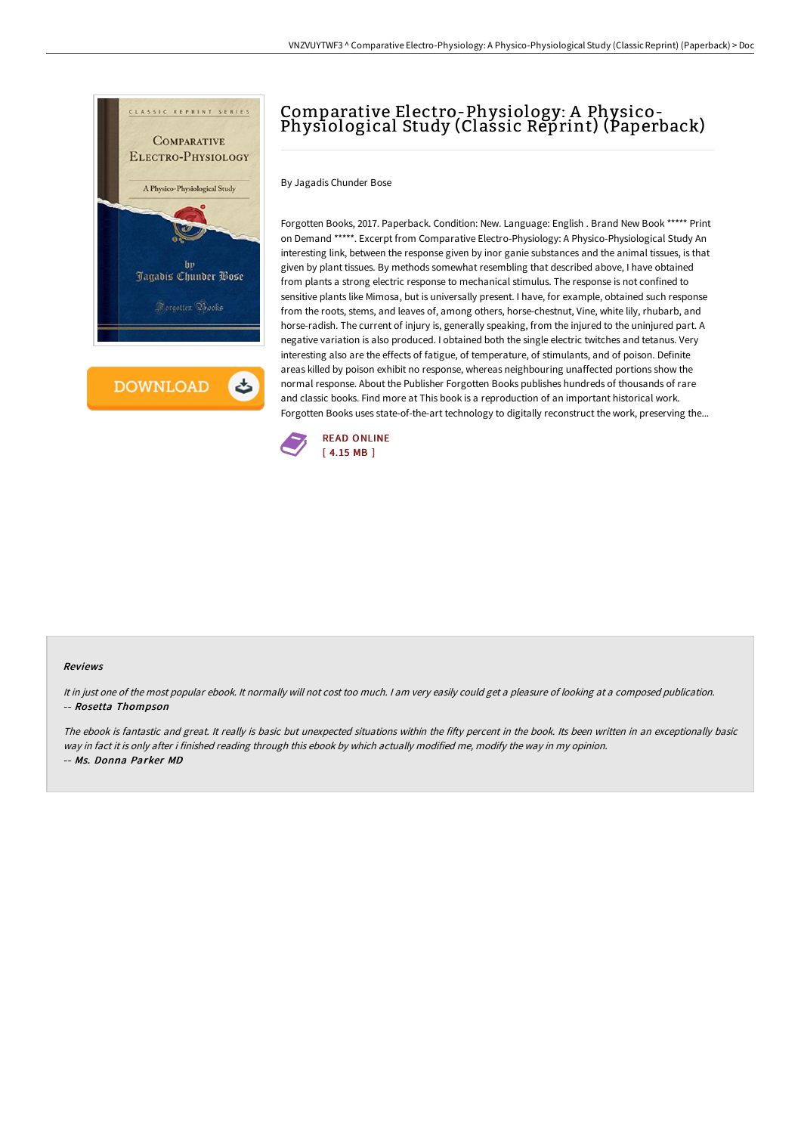

**DOWNLOAD** 

ٹ

# Comparative Electro-Physiology: A Physico-Physiological Study (Classic Reprint) (Paperback)

By Jagadis Chunder Bose

Forgotten Books, 2017. Paperback. Condition: New. Language: English . Brand New Book \*\*\*\*\* Print on Demand \*\*\*\*\*. Excerpt from Comparative Electro-Physiology: A Physico-Physiological Study An interesting link, between the response given by inor ganie substances and the animal tissues, is that given by plant tissues. By methods somewhat resembling that described above, I have obtained from plants a strong electric response to mechanical stimulus. The response is not confined to sensitive plants like Mimosa, but is universally present. I have, for example, obtained such response from the roots, stems, and leaves of, among others, horse-chestnut, Vine, white lily, rhubarb, and horse-radish. The current of injury is, generally speaking, from the injured to the uninjured part. A negative variation is also produced. I obtained both the single electric twitches and tetanus. Very interesting also are the effects of fatigue, of temperature, of stimulants, and of poison. Definite areas killed by poison exhibit no response, whereas neighbouring unaffected portions show the normal response. About the Publisher Forgotten Books publishes hundreds of thousands of rare and classic books. Find more at This book is a reproduction of an important historical work. Forgotten Books uses state-of-the-art technology to digitally reconstruct the work, preserving the...



#### Reviews

It in just one of the most popular ebook. It normally will not cost too much. <sup>I</sup> am very easily could get <sup>a</sup> pleasure of looking at <sup>a</sup> composed publication. -- Rosetta Thompson

The ebook is fantastic and great. It really is basic but unexpected situations within the fifty percent in the book. Its been written in an exceptionally basic way in fact it is only after i finished reading through this ebook by which actually modified me, modify the way in my opinion. -- Ms. Donna Parker MD